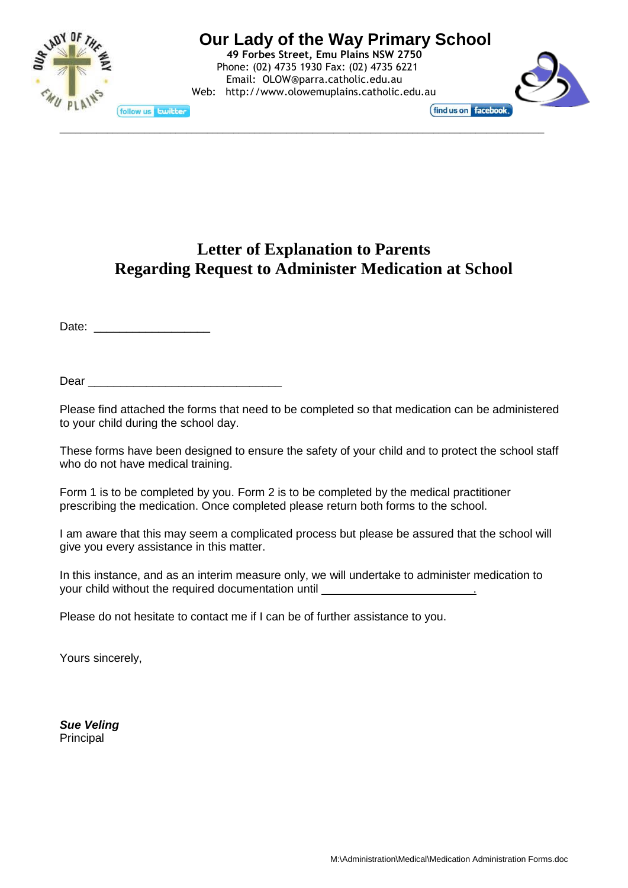

# **Our Lady of the Way Primary School**

**49 Forbes Street, Emu Plains NSW 2750** Phone: (02) 4735 1930 Fax: (02) 4735 6221 Email: [OLOW@parra.catholic.edu.au](mailto:OLOW@parra.catholic.edu.au) Web: [http://www.olowemuplains.catholic.edu.au](http://www.hfgranville.catholic.edu.au/)

\_\_\_\_\_\_\_\_\_\_\_\_\_\_\_\_\_\_\_\_\_\_\_\_\_\_\_\_\_\_\_\_\_\_\_\_\_\_\_\_\_\_\_\_\_\_\_\_\_\_\_\_\_\_\_\_\_\_\_\_\_\_\_\_\_\_\_\_\_\_\_\_\_\_\_\_\_\_\_\_\_\_\_\_\_\_\_\_\_\_\_\_



**Letter of Explanation to Parents Regarding Request to Administer Medication at School**

Date: \_\_\_\_\_\_\_\_\_\_\_\_\_\_\_\_\_\_

 $Dear$ 

Please find attached the forms that need to be completed so that medication can be administered to your child during the school day.

These forms have been designed to ensure the safety of your child and to protect the school staff who do not have medical training.

Form 1 is to be completed by you. Form 2 is to be completed by the medical practitioner prescribing the medication. Once completed please return both forms to the school.

I am aware that this may seem a complicated process but please be assured that the school will give you every assistance in this matter.

In this instance, and as an interim measure only, we will undertake to administer medication to your child without the required documentation until **without**  $\frac{1}{2}$ 

Please do not hesitate to contact me if I can be of further assistance to you.

Yours sincerely,

*Sue Veling* Principal

M:\Administration\Medical\Medication Administration Forms.doc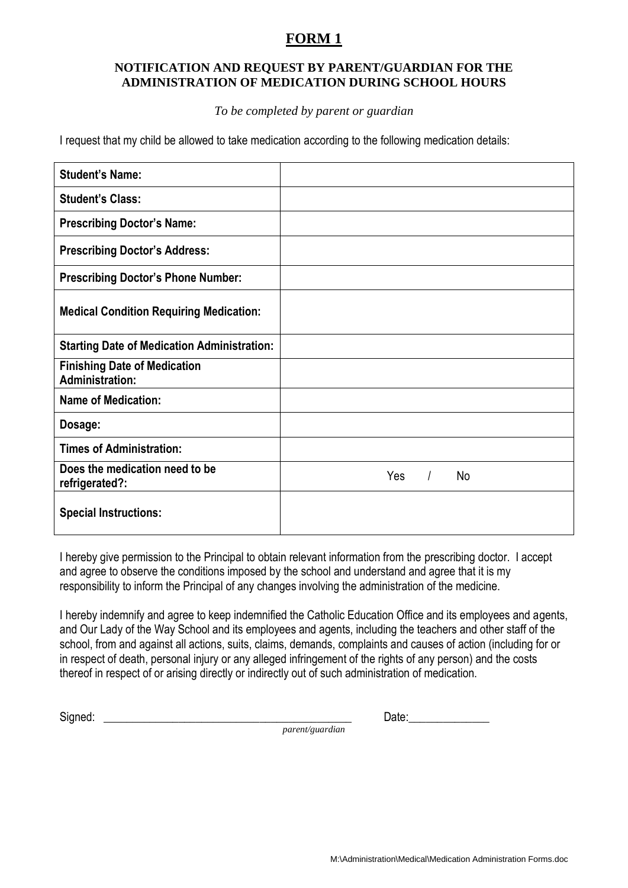### **FORM 1**

#### **NOTIFICATION AND REQUEST BY PARENT/GUARDIAN FOR THE ADMINISTRATION OF MEDICATION DURING SCHOOL HOURS**

#### *To be completed by parent or guardian*

I request that my child be allowed to take medication according to the following medication details:

| <b>Student's Name:</b>                                        |                       |
|---------------------------------------------------------------|-----------------------|
| <b>Student's Class:</b>                                       |                       |
| <b>Prescribing Doctor's Name:</b>                             |                       |
| <b>Prescribing Doctor's Address:</b>                          |                       |
| <b>Prescribing Doctor's Phone Number:</b>                     |                       |
| <b>Medical Condition Requiring Medication:</b>                |                       |
| <b>Starting Date of Medication Administration:</b>            |                       |
| <b>Finishing Date of Medication</b><br><b>Administration:</b> |                       |
| <b>Name of Medication:</b>                                    |                       |
| Dosage:                                                       |                       |
| <b>Times of Administration:</b>                               |                       |
| Does the medication need to be<br>refrigerated?:              | Yes<br>$\prime$<br>No |
| <b>Special Instructions:</b>                                  |                       |

I hereby give permission to the Principal to obtain relevant information from the prescribing doctor. I accept and agree to observe the conditions imposed by the school and understand and agree that it is my responsibility to inform the Principal of any changes involving the administration of the medicine.

I hereby indemnify and agree to keep indemnified the Catholic Education Office and its employees and agents, and Our Lady of the Way School and its employees and agents, including the teachers and other staff of the school, from and against all actions, suits, claims, demands, complaints and causes of action (including for or in respect of death, personal injury or any alleged infringement of the rights of any person) and the costs thereof in respect of or arising directly or indirectly out of such administration of medication.

*parent/guardian*

Signed: \_\_\_\_\_\_\_\_\_\_\_\_\_\_\_\_\_\_\_\_\_\_\_\_\_\_\_\_\_\_\_\_\_\_\_\_\_\_\_\_\_\_\_ Date:\_\_\_\_\_\_\_\_\_\_\_\_\_\_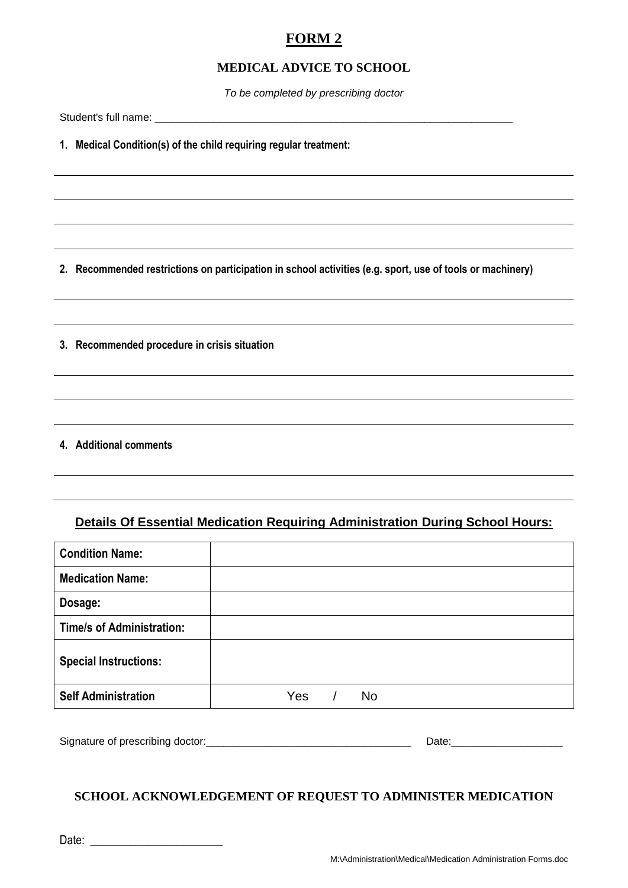# **FORM 2**

#### **MEDICAL ADVICE TO SCHOOL**

*To be completed by prescribing doctor*

Student's full name: \_\_\_\_\_\_\_\_\_\_\_\_\_\_\_\_\_\_\_\_\_\_\_\_\_\_\_\_\_\_\_\_\_\_\_\_\_\_\_\_\_\_\_\_\_\_\_\_\_\_\_\_\_\_\_\_\_\_\_\_\_

**1. Medical Condition(s) of the child requiring regular treatment:**

**2. Recommended restrictions on participation in school activities (e.g. sport, use of tools or machinery)**

**3. Recommended procedure in crisis situation**

**4. Additional comments**

### **Details Of Essential Medication Requiring Administration During School Hours:**

| <b>Condition Name:</b>           |                  |
|----------------------------------|------------------|
| <b>Medication Name:</b>          |                  |
| Dosage:                          |                  |
| <b>Time/s of Administration:</b> |                  |
| <b>Special Instructions:</b>     |                  |
| <b>Self Administration</b>       | Yes<br><b>No</b> |

Signature of prescribing doctor:\_\_\_\_\_\_\_\_\_\_\_\_\_\_\_\_\_\_\_\_\_\_\_\_\_\_\_\_\_\_\_\_\_\_\_ Date:\_\_\_\_\_\_\_\_\_\_\_\_\_\_\_\_\_\_\_

#### **SCHOOL ACKNOWLEDGEMENT OF REQUEST TO ADMINISTER MEDICATION**

Date: \_\_\_\_\_\_\_\_\_\_\_\_\_\_\_\_\_\_\_\_\_\_\_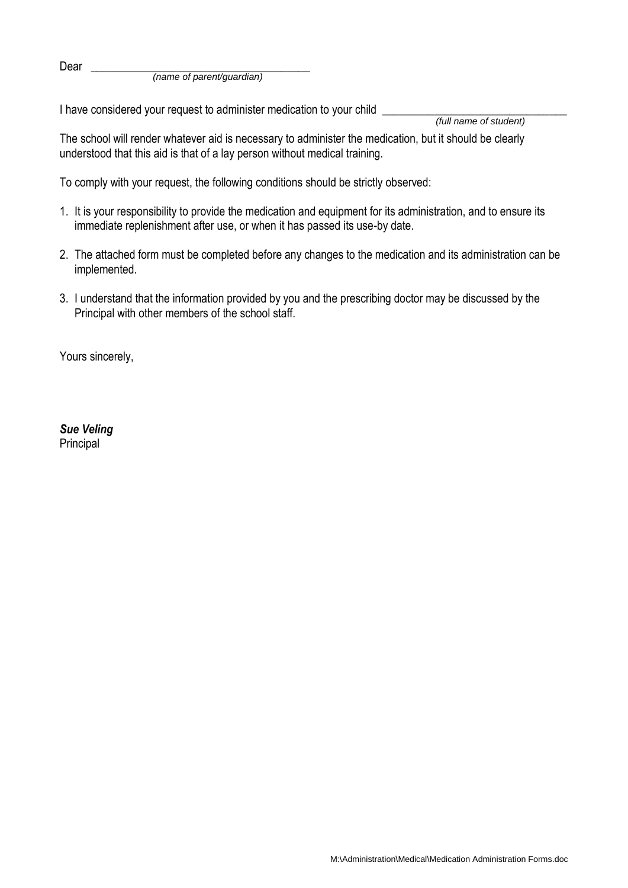Dear \_\_\_\_\_\_\_\_\_\_\_\_\_\_\_\_\_\_\_\_\_\_\_\_\_\_\_\_\_\_\_\_\_\_\_\_\_\_ *(name of parent/guardian)*

I have considered your request to administer medication to your child \_\_\_\_\_\_\_\_\_\_

*(full name of student)*

The school will render whatever aid is necessary to administer the medication, but it should be clearly understood that this aid is that of a lay person without medical training.

To comply with your request, the following conditions should be strictly observed:

- 1. It is your responsibility to provide the medication and equipment for its administration, and to ensure its immediate replenishment after use, or when it has passed its use-by date.
- 2. The attached form must be completed before any changes to the medication and its administration can be implemented.
- 3. I understand that the information provided by you and the prescribing doctor may be discussed by the Principal with other members of the school staff.

Yours sincerely,

*Sue Veling* Principal